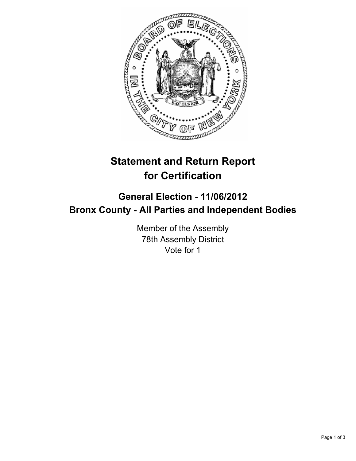

## **Statement and Return Report for Certification**

## **General Election - 11/06/2012 Bronx County - All Parties and Independent Bodies**

Member of the Assembly 78th Assembly District Vote for 1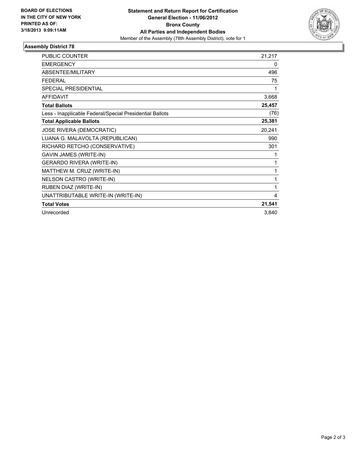

## **Assembly District 78**

| <b>PUBLIC COUNTER</b>                                    | 21,217 |
|----------------------------------------------------------|--------|
| <b>EMERGENCY</b>                                         | 0      |
| ABSENTEE/MILITARY                                        | 496    |
| <b>FEDERAL</b>                                           | 75     |
| SPECIAL PRESIDENTIAL                                     | 1      |
| <b>AFFIDAVIT</b>                                         | 3,668  |
| <b>Total Ballots</b>                                     | 25,457 |
| Less - Inapplicable Federal/Special Presidential Ballots | (76)   |
| <b>Total Applicable Ballots</b>                          | 25,381 |
| JOSE RIVERA (DEMOCRATIC)                                 | 20,241 |
| LUANA G. MALAVOLTA (REPUBLICAN)                          | 990    |
| RICHARD RETCHO (CONSERVATIVE)                            | 301    |
| GAVIN JAMES (WRITE-IN)                                   | 1      |
| <b>GERARDO RIVERA (WRITE-IN)</b>                         | 1      |
| MATTHEW M. CRUZ (WRITE-IN)                               | 1      |
| NELSON CASTRO (WRITE-IN)                                 | 1      |
| RUBEN DIAZ (WRITE-IN)                                    | 1      |
| UNATTRIBUTABLE WRITE-IN (WRITE-IN)                       | 4      |
| <b>Total Votes</b>                                       | 21,541 |
| Unrecorded                                               | 3,840  |